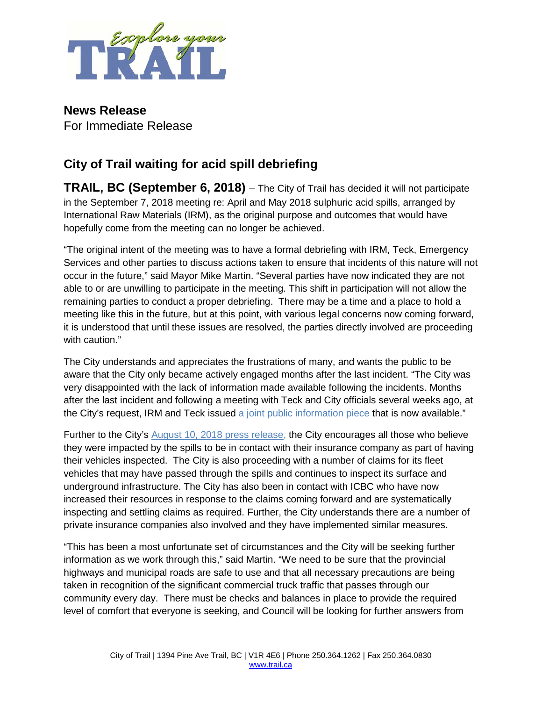

**News Release** For Immediate Release

## **City of Trail waiting for acid spill debriefing**

**TRAIL, BC (September 6, 2018)** – The City of Trail has decided it will not participate in the September 7, 2018 meeting re: April and May 2018 sulphuric acid spills, arranged by International Raw Materials (IRM), as the original purpose and outcomes that would have hopefully come from the meeting can no longer be achieved.

"The original intent of the meeting was to have a formal debriefing with IRM, Teck, Emergency Services and other parties to discuss actions taken to ensure that incidents of this nature will not occur in the future," said Mayor Mike Martin. "Several parties have now indicated they are not able to or are unwilling to participate in the meeting. This shift in participation will not allow the remaining parties to conduct a proper debriefing. There may be a time and a place to hold a meeting like this in the future, but at this point, with various legal concerns now coming forward, it is understood that until these issues are resolved, the parties directly involved are proceeding with caution."

The City understands and appreciates the frustrations of many, and wants the public to be aware that the City only became actively engaged months after the last incident. "The City was very disappointed with the lack of information made available following the incidents. Months after the last incident and following a meeting with Teck and City officials several weeks ago, at the City's request, IRM and Teck issued [a joint public information piece](http://trail.ca/en/inside-city-hall/resources/PublicNotice/Joint-IRM-Teck-Fact-Sheet---Information-on-Recent-Sulphuric-Acid-Spills-in-Trail-BC.pdf) that is now available."

Further to the City's [August 10, 2018 press release,](http://www.trail.ca/en/News/index.aspx?FeedId=3b9e512b-58d6-4915-8246-fb11187fceea&newsId=c649b762-a6fc-4f89-8c92-548e7509a738) the City encourages all those who believe they were impacted by the spills to be in contact with their insurance company as part of having their vehicles inspected. The City is also proceeding with a number of claims for its fleet vehicles that may have passed through the spills and continues to inspect its surface and underground infrastructure. The City has also been in contact with ICBC who have now increased their resources in response to the claims coming forward and are systematically inspecting and settling claims as required. Further, the City understands there are a number of private insurance companies also involved and they have implemented similar measures.

"This has been a most unfortunate set of circumstances and the City will be seeking further information as we work through this," said Martin. "We need to be sure that the provincial highways and municipal roads are safe to use and that all necessary precautions are being taken in recognition of the significant commercial truck traffic that passes through our community every day. There must be checks and balances in place to provide the required level of comfort that everyone is seeking, and Council will be looking for further answers from